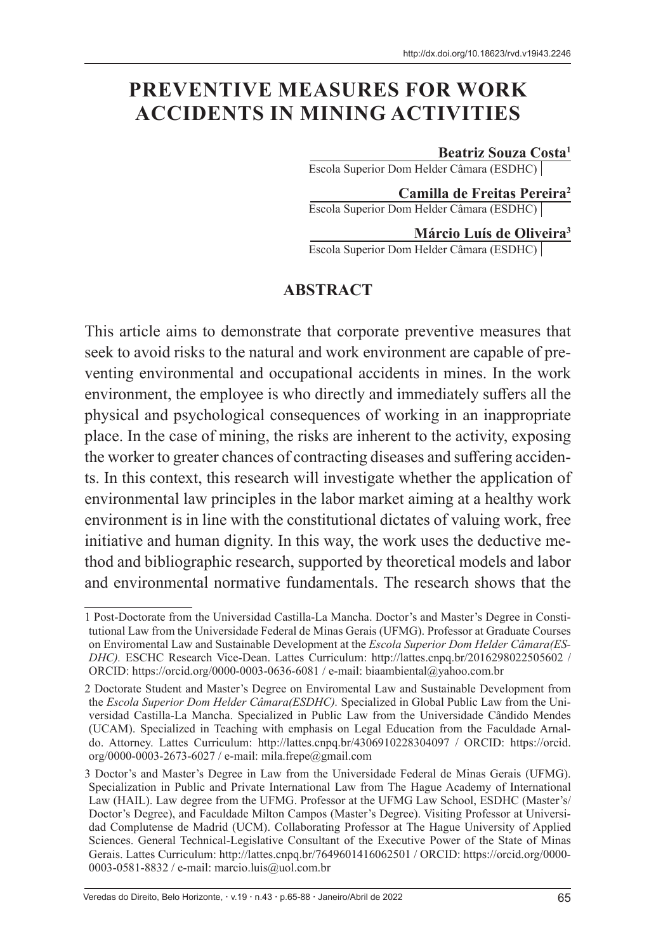# **PREVENTIVE MEASURES FOR WORK ACCIDENTS IN MINING ACTIVITIES**

#### **Beatriz Souza Costa1**

Escola Superior Dom Helder Câmara (ESDHC)

**Camilla de Freitas Pereira2** Escola Superior Dom Helder Câmara (ESDHC)

**Márcio Luís de Oliveira3** Escola Superior Dom Helder Câmara (ESDHC)

#### **ABSTRACT**

This article aims to demonstrate that corporate preventive measures that seek to avoid risks to the natural and work environment are capable of preventing environmental and occupational accidents in mines. In the work environment, the employee is who directly and immediately suffers all the physical and psychological consequences of working in an inappropriate place. In the case of mining, the risks are inherent to the activity, exposing the worker to greater chances of contracting diseases and suffering accidents. In this context, this research will investigate whether the application of environmental law principles in the labor market aiming at a healthy work environment is in line with the constitutional dictates of valuing work, free initiative and human dignity. In this way, the work uses the deductive method and bibliographic research, supported by theoretical models and labor and environmental normative fundamentals. The research shows that the

<sup>1</sup> Post-Doctorate from the Universidad Castilla-La Mancha. Doctor's and Master's Degree in Constitutional Law from the Universidade Federal de Minas Gerais (UFMG). Professor at Graduate Courses on Enviromental Law and Sustainable Development at the *Escola Superior Dom Helder Câmara(ES-DHC).* ESCHC Research Vice-Dean. Lattes Curriculum: http://lattes.cnpq.br/2016298022505602 / ORCID: https://orcid.org/0000-0003-0636-6081 / e-mail: biaambiental@yahoo.com.br

<sup>2</sup> Doctorate Student and Master's Degree on Enviromental Law and Sustainable Development from the *Escola Superior Dom Helder Câmara(ESDHC).* Specialized in Global Public Law from the Universidad Castilla-La Mancha. Specialized in Public Law from the Universidade Cândido Mendes (UCAM). Specialized in Teaching with emphasis on Legal Education from the Faculdade Arnaldo. Attorney. Lattes Curriculum: http://lattes.cnpq.br/4306910228304097 / ORCID: https://orcid. org/0000-0003-2673-6027 / e-mail: mila.frepe@gmail.com

<sup>3</sup> Doctor's and Master's Degree in Law from the Universidade Federal de Minas Gerais (UFMG). Specialization in Public and Private International Law from The Hague Academy of International Law (HAIL). Law degree from the UFMG. Professor at the UFMG Law School, ESDHC (Master's/ Doctor's Degree), and Faculdade Milton Campos (Master's Degree). Visiting Professor at Universidad Complutense de Madrid (UCM). Collaborating Professor at The Hague University of Applied Sciences. General Technical-Legislative Consultant of the Executive Power of the State of Minas Gerais. Lattes Curriculum: http://lattes.cnpq.br/7649601416062501 / ORCID: https://orcid.org/0000- 0003-0581-8832 / e-mail: marcio.luis@uol.com.br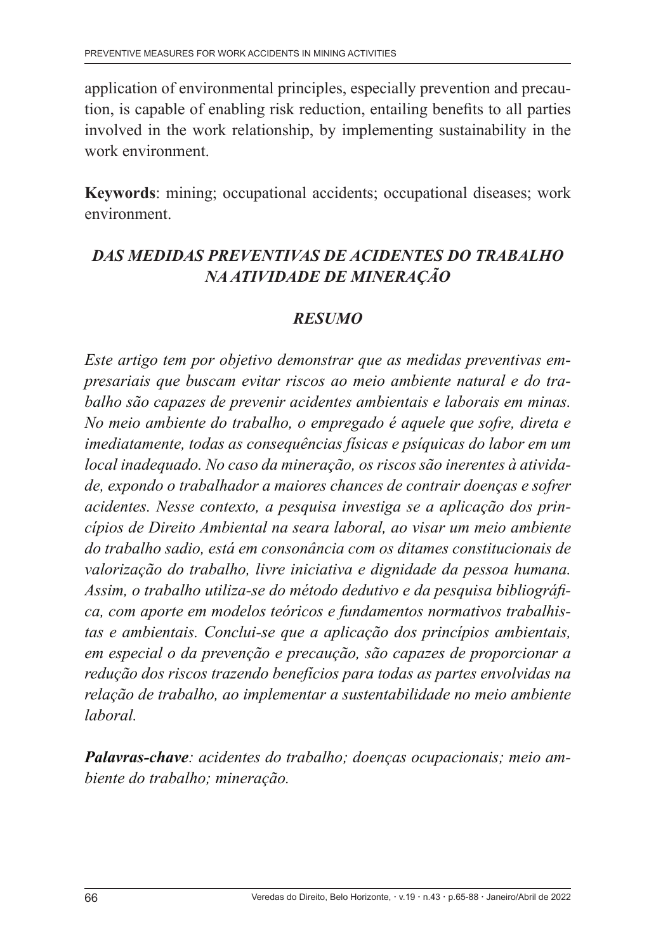application of environmental principles, especially prevention and precaution, is capable of enabling risk reduction, entailing benefits to all parties involved in the work relationship, by implementing sustainability in the work environment.

**Keywords**: mining; occupational accidents; occupational diseases; work environment.

## *DAS MEDIDAS PREVENTIVAS DE ACIDENTES DO TRABALHO NA ATIVIDADE DE MINERAÇÃO*

#### *RESUMO*

*Este artigo tem por objetivo demonstrar que as medidas preventivas empresariais que buscam evitar riscos ao meio ambiente natural e do trabalho são capazes de prevenir acidentes ambientais e laborais em minas. No meio ambiente do trabalho, o empregado é aquele que sofre, direta e imediatamente, todas as consequências físicas e psíquicas do labor em um local inadequado. No caso da mineração, os riscos são inerentes à atividade, expondo o trabalhador a maiores chances de contrair doenças e sofrer acidentes. Nesse contexto, a pesquisa investiga se a aplicação dos princípios de Direito Ambiental na seara laboral, ao visar um meio ambiente do trabalho sadio, está em consonância com os ditames constitucionais de valorização do trabalho, livre iniciativa e dignidade da pessoa humana. Assim, o trabalho utiliza-se do método dedutivo e da pesquisa bibliográfica, com aporte em modelos teóricos e fundamentos normativos trabalhistas e ambientais. Conclui-se que a aplicação dos princípios ambientais, em especial o da prevenção e precaução, são capazes de proporcionar a redução dos riscos trazendo benefícios para todas as partes envolvidas na relação de trabalho, ao implementar a sustentabilidade no meio ambiente laboral.*

*Palavras-chave: acidentes do trabalho; doenças ocupacionais; meio ambiente do trabalho; mineração.*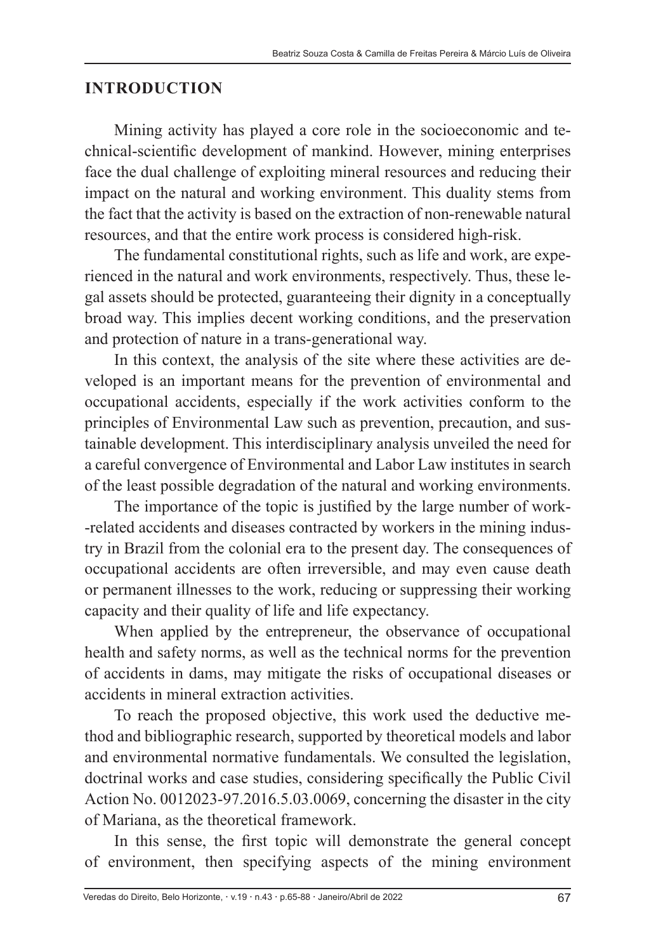#### **INTRODUCTION**

Mining activity has played a core role in the socioeconomic and technical-scientific development of mankind. However, mining enterprises face the dual challenge of exploiting mineral resources and reducing their impact on the natural and working environment. This duality stems from the fact that the activity is based on the extraction of non-renewable natural resources, and that the entire work process is considered high-risk.

The fundamental constitutional rights, such as life and work, are experienced in the natural and work environments, respectively. Thus, these legal assets should be protected, guaranteeing their dignity in a conceptually broad way. This implies decent working conditions, and the preservation and protection of nature in a trans-generational way.

In this context, the analysis of the site where these activities are developed is an important means for the prevention of environmental and occupational accidents, especially if the work activities conform to the principles of Environmental Law such as prevention, precaution, and sustainable development. This interdisciplinary analysis unveiled the need for a careful convergence of Environmental and Labor Law institutes in search of the least possible degradation of the natural and working environments.

The importance of the topic is justified by the large number of work- -related accidents and diseases contracted by workers in the mining industry in Brazil from the colonial era to the present day. The consequences of occupational accidents are often irreversible, and may even cause death or permanent illnesses to the work, reducing or suppressing their working capacity and their quality of life and life expectancy.

When applied by the entrepreneur, the observance of occupational health and safety norms, as well as the technical norms for the prevention of accidents in dams, may mitigate the risks of occupational diseases or accidents in mineral extraction activities.

To reach the proposed objective, this work used the deductive method and bibliographic research, supported by theoretical models and labor and environmental normative fundamentals. We consulted the legislation, doctrinal works and case studies, considering specifically the Public Civil Action No. 0012023-97.2016.5.03.0069, concerning the disaster in the city of Mariana, as the theoretical framework.

In this sense, the first topic will demonstrate the general concept of environment, then specifying aspects of the mining environment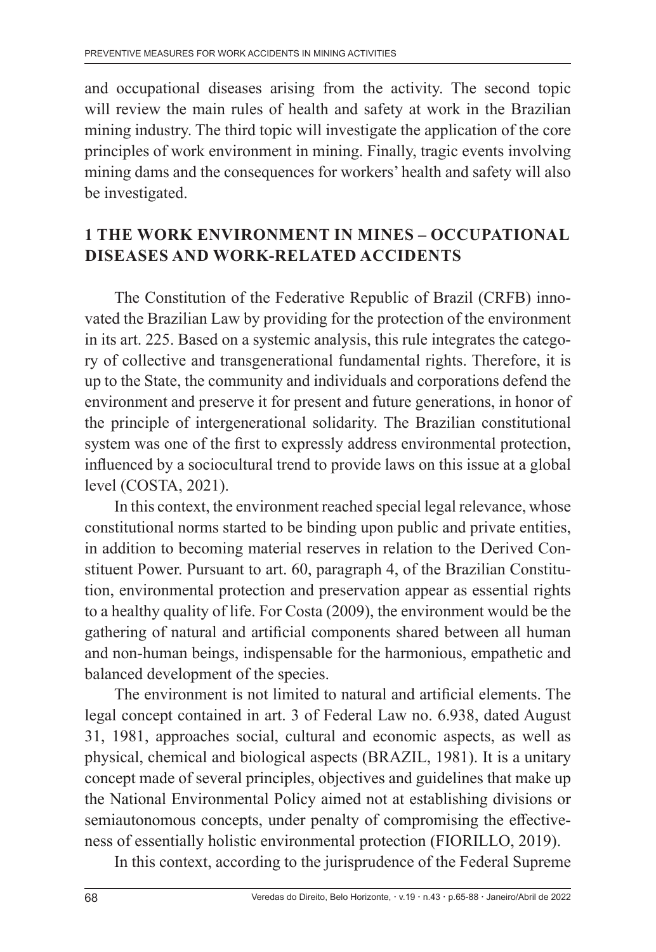and occupational diseases arising from the activity. The second topic will review the main rules of health and safety at work in the Brazilian mining industry. The third topic will investigate the application of the core principles of work environment in mining. Finally, tragic events involving mining dams and the consequences for workers' health and safety will also be investigated.

#### **1 THE WORK ENVIRONMENT IN MINES – OCCUPATIONAL DISEASES AND WORK-RELATED ACCIDENTS**

The Constitution of the Federative Republic of Brazil (CRFB) innovated the Brazilian Law by providing for the protection of the environment in its art. 225. Based on a systemic analysis, this rule integrates the category of collective and transgenerational fundamental rights. Therefore, it is up to the State, the community and individuals and corporations defend the environment and preserve it for present and future generations, in honor of the principle of intergenerational solidarity. The Brazilian constitutional system was one of the first to expressly address environmental protection, influenced by a sociocultural trend to provide laws on this issue at a global level (COSTA, 2021).

In this context, the environment reached special legal relevance, whose constitutional norms started to be binding upon public and private entities, in addition to becoming material reserves in relation to the Derived Constituent Power. Pursuant to art. 60, paragraph 4, of the Brazilian Constitution, environmental protection and preservation appear as essential rights to a healthy quality of life. For Costa (2009), the environment would be the gathering of natural and artificial components shared between all human and non-human beings, indispensable for the harmonious, empathetic and balanced development of the species.

The environment is not limited to natural and artificial elements. The legal concept contained in art. 3 of Federal Law no. 6.938, dated August 31, 1981, approaches social, cultural and economic aspects, as well as physical, chemical and biological aspects (BRAZIL, 1981). It is a unitary concept made of several principles, objectives and guidelines that make up the National Environmental Policy aimed not at establishing divisions or semiautonomous concepts, under penalty of compromising the effectiveness of essentially holistic environmental protection (FIORILLO, 2019).

In this context, according to the jurisprudence of the Federal Supreme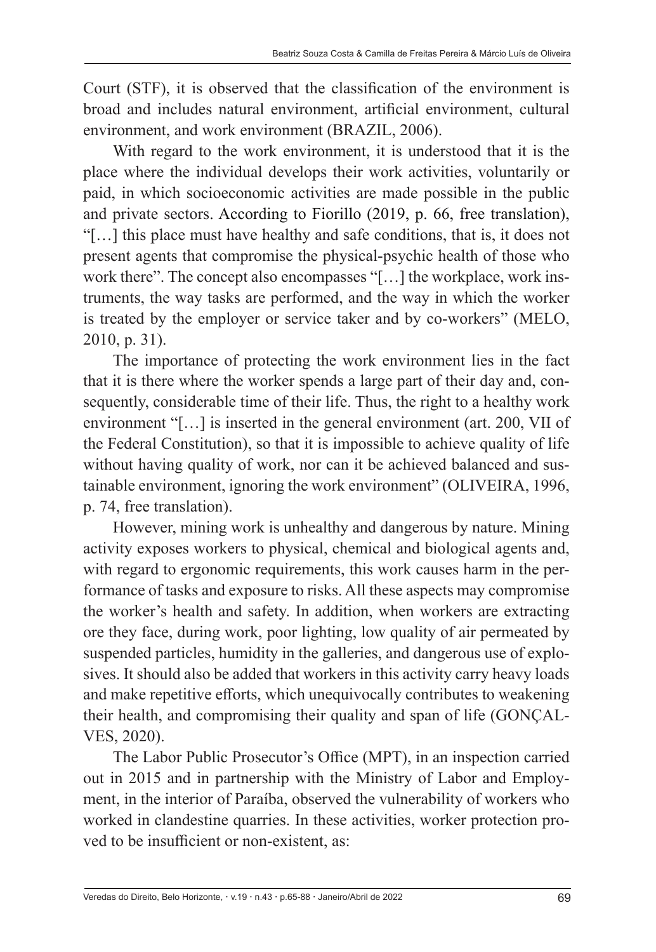Court (STF), it is observed that the classification of the environment is broad and includes natural environment, artificial environment, cultural environment, and work environment (BRAZIL, 2006).

With regard to the work environment, it is understood that it is the place where the individual develops their work activities, voluntarily or paid, in which socioeconomic activities are made possible in the public and private sectors. According to Fiorillo (2019, p. 66, free translation), "[…] this place must have healthy and safe conditions, that is, it does not present agents that compromise the physical-psychic health of those who work there". The concept also encompasses "[…] the workplace, work instruments, the way tasks are performed, and the way in which the worker is treated by the employer or service taker and by co-workers" (MELO, 2010, p. 31).

The importance of protecting the work environment lies in the fact that it is there where the worker spends a large part of their day and, consequently, considerable time of their life. Thus, the right to a healthy work environment "[…] is inserted in the general environment (art. 200, VII of the Federal Constitution), so that it is impossible to achieve quality of life without having quality of work, nor can it be achieved balanced and sustainable environment, ignoring the work environment" (OLIVEIRA, 1996, p. 74, free translation).

However, mining work is unhealthy and dangerous by nature. Mining activity exposes workers to physical, chemical and biological agents and, with regard to ergonomic requirements, this work causes harm in the performance of tasks and exposure to risks. All these aspects may compromise the worker's health and safety. In addition, when workers are extracting ore they face, during work, poor lighting, low quality of air permeated by suspended particles, humidity in the galleries, and dangerous use of explosives. It should also be added that workers in this activity carry heavy loads and make repetitive efforts, which unequivocally contributes to weakening their health, and compromising their quality and span of life (GONÇAL-VES, 2020).

The Labor Public Prosecutor's Office (MPT), in an inspection carried out in 2015 and in partnership with the Ministry of Labor and Employment, in the interior of Paraíba, observed the vulnerability of workers who worked in clandestine quarries. In these activities, worker protection proved to be insufficient or non-existent, as: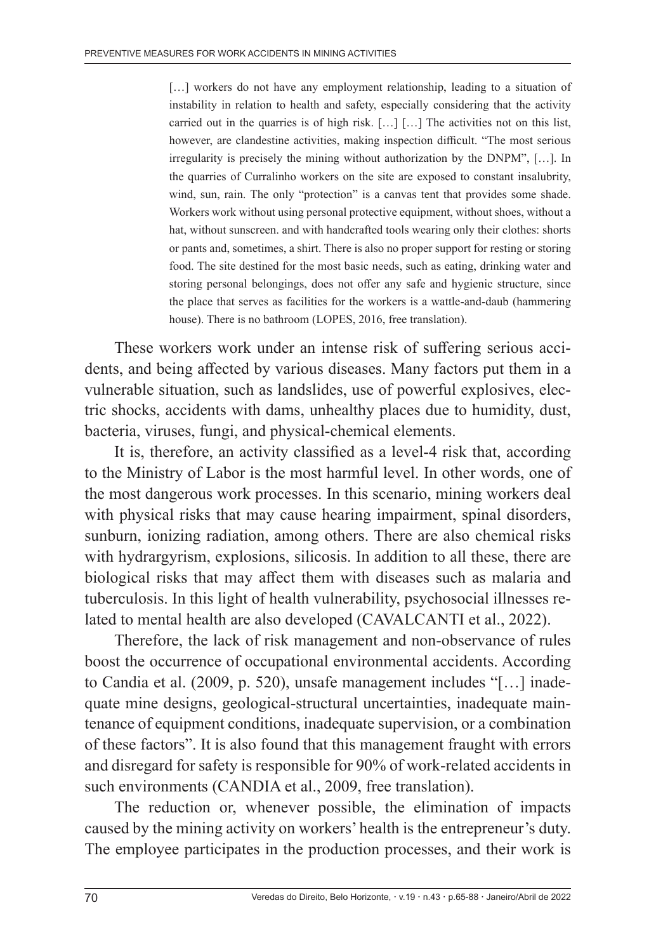[...] workers do not have any employment relationship, leading to a situation of instability in relation to health and safety, especially considering that the activity carried out in the quarries is of high risk. […] […] The activities not on this list, however, are clandestine activities, making inspection difficult. "The most serious irregularity is precisely the mining without authorization by the DNPM", […]. In the quarries of Curralinho workers on the site are exposed to constant insalubrity, wind, sun, rain. The only "protection" is a canvas tent that provides some shade. Workers work without using personal protective equipment, without shoes, without a hat, without sunscreen. and with handcrafted tools wearing only their clothes: shorts or pants and, sometimes, a shirt. There is also no proper support for resting or storing food. The site destined for the most basic needs, such as eating, drinking water and storing personal belongings, does not offer any safe and hygienic structure, since the place that serves as facilities for the workers is a wattle-and-daub (hammering house). There is no bathroom (LOPES, 2016, free translation).

These workers work under an intense risk of suffering serious accidents, and being affected by various diseases. Many factors put them in a vulnerable situation, such as landslides, use of powerful explosives, electric shocks, accidents with dams, unhealthy places due to humidity, dust, bacteria, viruses, fungi, and physical-chemical elements.

It is, therefore, an activity classified as a level-4 risk that, according to the Ministry of Labor is the most harmful level. In other words, one of the most dangerous work processes. In this scenario, mining workers deal with physical risks that may cause hearing impairment, spinal disorders, sunburn, ionizing radiation, among others. There are also chemical risks with hydrargyrism, explosions, silicosis. In addition to all these, there are biological risks that may affect them with diseases such as malaria and tuberculosis. In this light of health vulnerability, psychosocial illnesses related to mental health are also developed (CAVALCANTI et al., 2022).

Therefore, the lack of risk management and non-observance of rules boost the occurrence of occupational environmental accidents. According to Candia et al. (2009, p. 520), unsafe management includes "[…] inadequate mine designs, geological-structural uncertainties, inadequate maintenance of equipment conditions, inadequate supervision, or a combination of these factors". It is also found that this management fraught with errors and disregard for safety is responsible for 90% of work-related accidents in such environments (CANDIA et al., 2009, free translation).

The reduction or, whenever possible, the elimination of impacts caused by the mining activity on workers' health is the entrepreneur's duty. The employee participates in the production processes, and their work is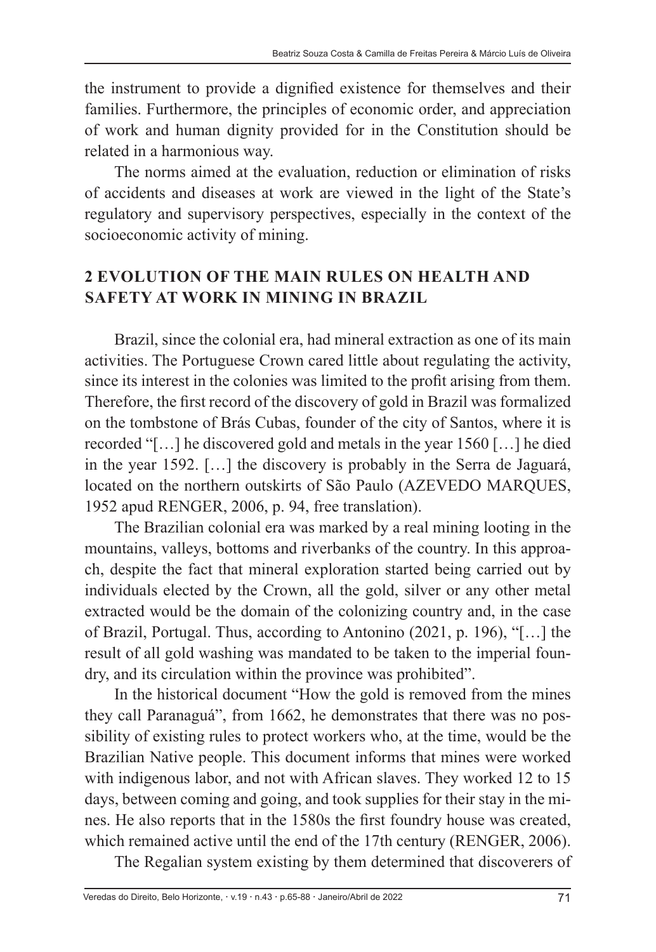the instrument to provide a dignified existence for themselves and their families. Furthermore, the principles of economic order, and appreciation of work and human dignity provided for in the Constitution should be related in a harmonious way.

The norms aimed at the evaluation, reduction or elimination of risks of accidents and diseases at work are viewed in the light of the State's regulatory and supervisory perspectives, especially in the context of the socioeconomic activity of mining.

## **2 EVOLUTION OF THE MAIN RULES ON HEALTH AND SAFETY AT WORK IN MINING IN BRAZIL**

Brazil, since the colonial era, had mineral extraction as one of its main activities. The Portuguese Crown cared little about regulating the activity, since its interest in the colonies was limited to the profit arising from them. Therefore, the first record of the discovery of gold in Brazil was formalized on the tombstone of Brás Cubas, founder of the city of Santos, where it is recorded "[…] he discovered gold and metals in the year 1560 […] he died in the year 1592. […] the discovery is probably in the Serra de Jaguará, located on the northern outskirts of São Paulo (AZEVEDO MARQUES, 1952 apud RENGER, 2006, p. 94, free translation).

The Brazilian colonial era was marked by a real mining looting in the mountains, valleys, bottoms and riverbanks of the country. In this approach, despite the fact that mineral exploration started being carried out by individuals elected by the Crown, all the gold, silver or any other metal extracted would be the domain of the colonizing country and, in the case of Brazil, Portugal. Thus, according to Antonino (2021, p. 196), "[…] the result of all gold washing was mandated to be taken to the imperial foundry, and its circulation within the province was prohibited".

In the historical document "How the gold is removed from the mines they call Paranaguá", from 1662, he demonstrates that there was no possibility of existing rules to protect workers who, at the time, would be the Brazilian Native people. This document informs that mines were worked with indigenous labor, and not with African slaves. They worked 12 to 15 days, between coming and going, and took supplies for their stay in the mines. He also reports that in the 1580s the first foundry house was created, which remained active until the end of the 17th century (RENGER, 2006).

The Regalian system existing by them determined that discoverers of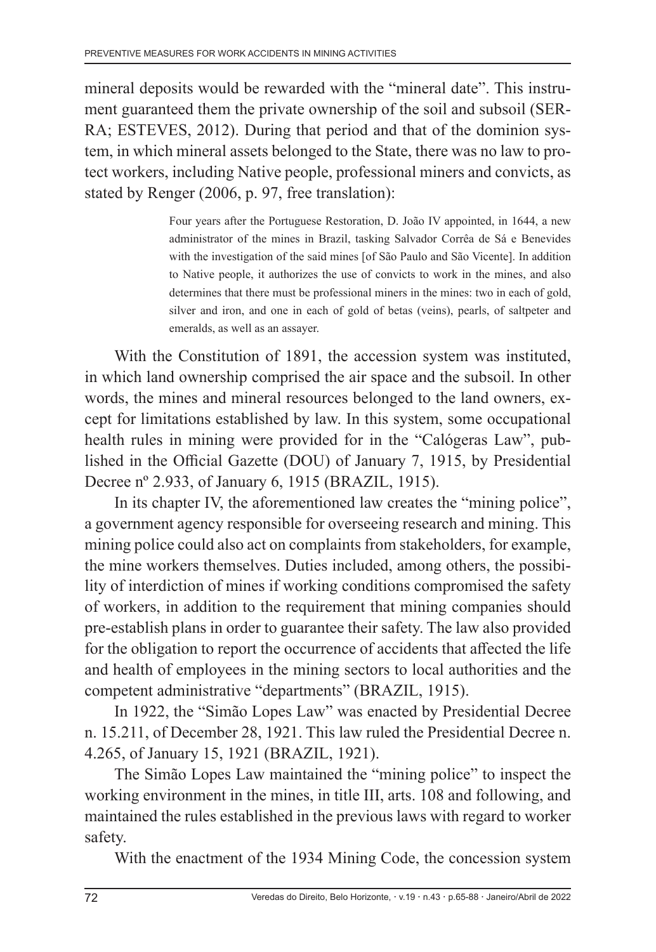mineral deposits would be rewarded with the "mineral date". This instrument guaranteed them the private ownership of the soil and subsoil (SER-RA; ESTEVES, 2012). During that period and that of the dominion system, in which mineral assets belonged to the State, there was no law to protect workers, including Native people, professional miners and convicts, as stated by Renger (2006, p. 97, free translation):

> Four years after the Portuguese Restoration, D. João IV appointed, in 1644, a new administrator of the mines in Brazil, tasking Salvador Corrêa de Sá e Benevides with the investigation of the said mines [of São Paulo and São Vicente]. In addition to Native people, it authorizes the use of convicts to work in the mines, and also determines that there must be professional miners in the mines: two in each of gold, silver and iron, and one in each of gold of betas (veins), pearls, of saltpeter and emeralds, as well as an assayer.

With the Constitution of 1891, the accession system was instituted, in which land ownership comprised the air space and the subsoil. In other words, the mines and mineral resources belonged to the land owners, except for limitations established by law. In this system, some occupational health rules in mining were provided for in the "Calógeras Law", published in the Official Gazette (DOU) of January 7, 1915, by Presidential Decree nº 2.933, of January 6, 1915 (BRAZIL, 1915).

In its chapter IV, the aforementioned law creates the "mining police", a government agency responsible for overseeing research and mining. This mining police could also act on complaints from stakeholders, for example, the mine workers themselves. Duties included, among others, the possibility of interdiction of mines if working conditions compromised the safety of workers, in addition to the requirement that mining companies should pre-establish plans in order to guarantee their safety. The law also provided for the obligation to report the occurrence of accidents that affected the life and health of employees in the mining sectors to local authorities and the competent administrative "departments" (BRAZIL, 1915).

In 1922, the "Simão Lopes Law" was enacted by Presidential Decree n. 15.211, of December 28, 1921. This law ruled the Presidential Decree n. 4.265, of January 15, 1921 (BRAZIL, 1921).

The Simão Lopes Law maintained the "mining police" to inspect the working environment in the mines, in title III, arts. 108 and following, and maintained the rules established in the previous laws with regard to worker safety.

With the enactment of the 1934 Mining Code, the concession system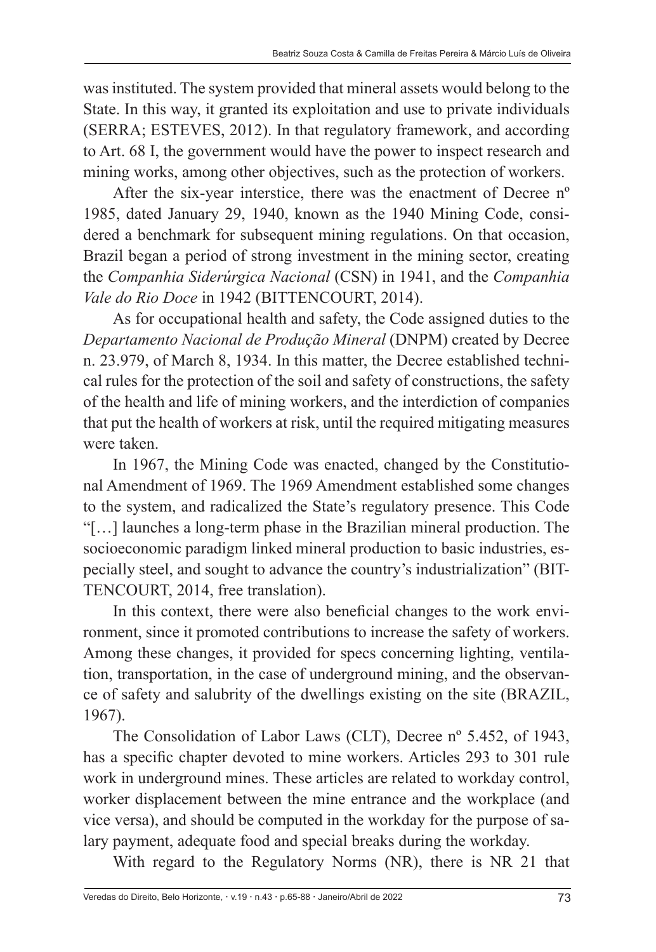was instituted. The system provided that mineral assets would belong to the State. In this way, it granted its exploitation and use to private individuals (SERRA; ESTEVES, 2012). In that regulatory framework, and according to Art. 68 I, the government would have the power to inspect research and mining works, among other objectives, such as the protection of workers.

After the six-year interstice, there was the enactment of Decree nº 1985, dated January 29, 1940, known as the 1940 Mining Code, considered a benchmark for subsequent mining regulations. On that occasion, Brazil began a period of strong investment in the mining sector, creating the *Companhia Siderúrgica Nacional* (CSN) in 1941, and the *Companhia Vale do Rio Doce* in 1942 (BITTENCOURT, 2014).

As for occupational health and safety, the Code assigned duties to the *Departamento Nacional de Produção Mineral* (DNPM) created by Decree n. 23.979, of March 8, 1934. In this matter, the Decree established technical rules for the protection of the soil and safety of constructions, the safety of the health and life of mining workers, and the interdiction of companies that put the health of workers at risk, until the required mitigating measures were taken.

In 1967, the Mining Code was enacted, changed by the Constitutional Amendment of 1969. The 1969 Amendment established some changes to the system, and radicalized the State's regulatory presence. This Code "[…] launches a long-term phase in the Brazilian mineral production. The socioeconomic paradigm linked mineral production to basic industries, especially steel, and sought to advance the country's industrialization" (BIT-TENCOURT, 2014, free translation).

In this context, there were also beneficial changes to the work environment, since it promoted contributions to increase the safety of workers. Among these changes, it provided for specs concerning lighting, ventilation, transportation, in the case of underground mining, and the observance of safety and salubrity of the dwellings existing on the site (BRAZIL, 1967).

The Consolidation of Labor Laws (CLT), Decree nº 5.452, of 1943, has a specific chapter devoted to mine workers. Articles 293 to 301 rule work in underground mines. These articles are related to workday control, worker displacement between the mine entrance and the workplace (and vice versa), and should be computed in the workday for the purpose of salary payment, adequate food and special breaks during the workday.

With regard to the Regulatory Norms (NR), there is NR 21 that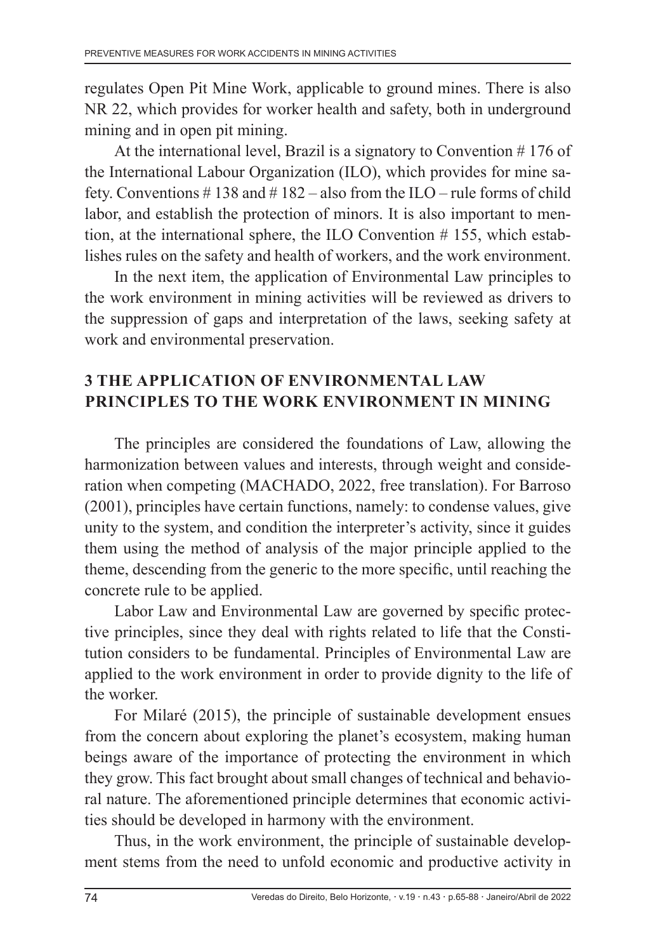regulates Open Pit Mine Work, applicable to ground mines. There is also NR 22, which provides for worker health and safety, both in underground mining and in open pit mining.

At the international level, Brazil is a signatory to Convention # 176 of the International Labour Organization (ILO), which provides for mine safety. Conventions  $\# 138$  and  $\# 182$  – also from the ILO – rule forms of child labor, and establish the protection of minors. It is also important to mention, at the international sphere, the ILO Convention # 155, which establishes rules on the safety and health of workers, and the work environment.

In the next item, the application of Environmental Law principles to the work environment in mining activities will be reviewed as drivers to the suppression of gaps and interpretation of the laws, seeking safety at work and environmental preservation.

## **3 THE APPLICATION OF ENVIRONMENTAL LAW PRINCIPLES TO THE WORK ENVIRONMENT IN MINING**

The principles are considered the foundations of Law, allowing the harmonization between values and interests, through weight and consideration when competing (MACHADO, 2022, free translation). For Barroso (2001), principles have certain functions, namely: to condense values, give unity to the system, and condition the interpreter's activity, since it guides them using the method of analysis of the major principle applied to the theme, descending from the generic to the more specific, until reaching the concrete rule to be applied.

Labor Law and Environmental Law are governed by specific protective principles, since they deal with rights related to life that the Constitution considers to be fundamental. Principles of Environmental Law are applied to the work environment in order to provide dignity to the life of the worker.

For Milaré (2015), the principle of sustainable development ensues from the concern about exploring the planet's ecosystem, making human beings aware of the importance of protecting the environment in which they grow. This fact brought about small changes of technical and behavioral nature. The aforementioned principle determines that economic activities should be developed in harmony with the environment.

Thus, in the work environment, the principle of sustainable development stems from the need to unfold economic and productive activity in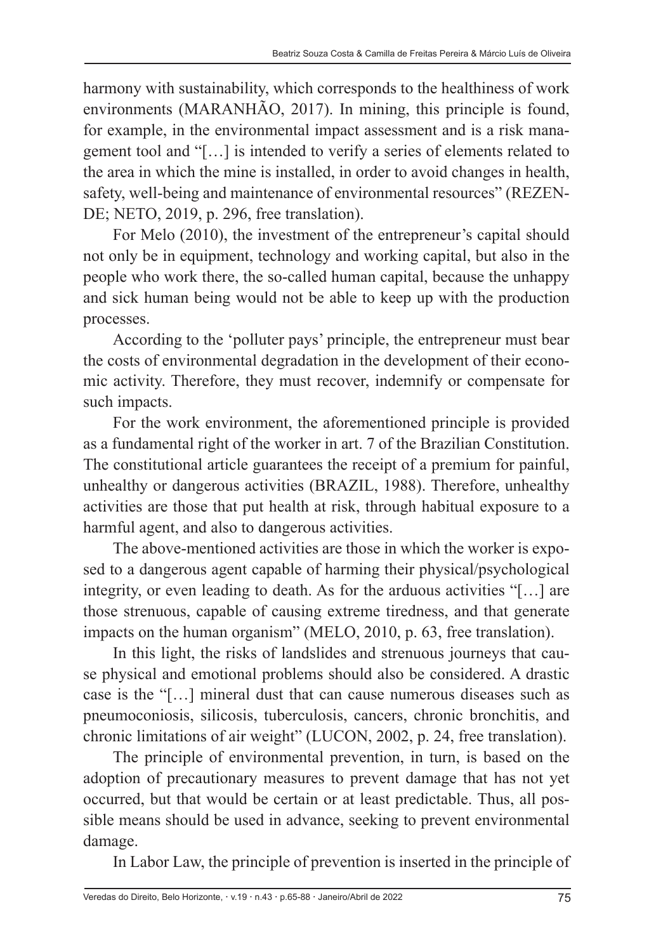harmony with sustainability, which corresponds to the healthiness of work environments (MARANHÃO, 2017). In mining, this principle is found, for example, in the environmental impact assessment and is a risk management tool and "[…] is intended to verify a series of elements related to the area in which the mine is installed, in order to avoid changes in health, safety, well-being and maintenance of environmental resources" (REZEN-DE; NETO, 2019, p. 296, free translation).

For Melo (2010), the investment of the entrepreneur's capital should not only be in equipment, technology and working capital, but also in the people who work there, the so-called human capital, because the unhappy and sick human being would not be able to keep up with the production processes.

According to the 'polluter pays' principle, the entrepreneur must bear the costs of environmental degradation in the development of their economic activity. Therefore, they must recover, indemnify or compensate for such impacts.

For the work environment, the aforementioned principle is provided as a fundamental right of the worker in art. 7 of the Brazilian Constitution. The constitutional article guarantees the receipt of a premium for painful, unhealthy or dangerous activities (BRAZIL, 1988). Therefore, unhealthy activities are those that put health at risk, through habitual exposure to a harmful agent, and also to dangerous activities.

The above-mentioned activities are those in which the worker is exposed to a dangerous agent capable of harming their physical/psychological integrity, or even leading to death. As for the arduous activities "[…] are those strenuous, capable of causing extreme tiredness, and that generate impacts on the human organism" (MELO, 2010, p. 63, free translation).

In this light, the risks of landslides and strenuous journeys that cause physical and emotional problems should also be considered. A drastic case is the "[…] mineral dust that can cause numerous diseases such as pneumoconiosis, silicosis, tuberculosis, cancers, chronic bronchitis, and chronic limitations of air weight" (LUCON, 2002, p. 24, free translation).

The principle of environmental prevention, in turn, is based on the adoption of precautionary measures to prevent damage that has not yet occurred, but that would be certain or at least predictable. Thus, all possible means should be used in advance, seeking to prevent environmental damage.

In Labor Law, the principle of prevention is inserted in the principle of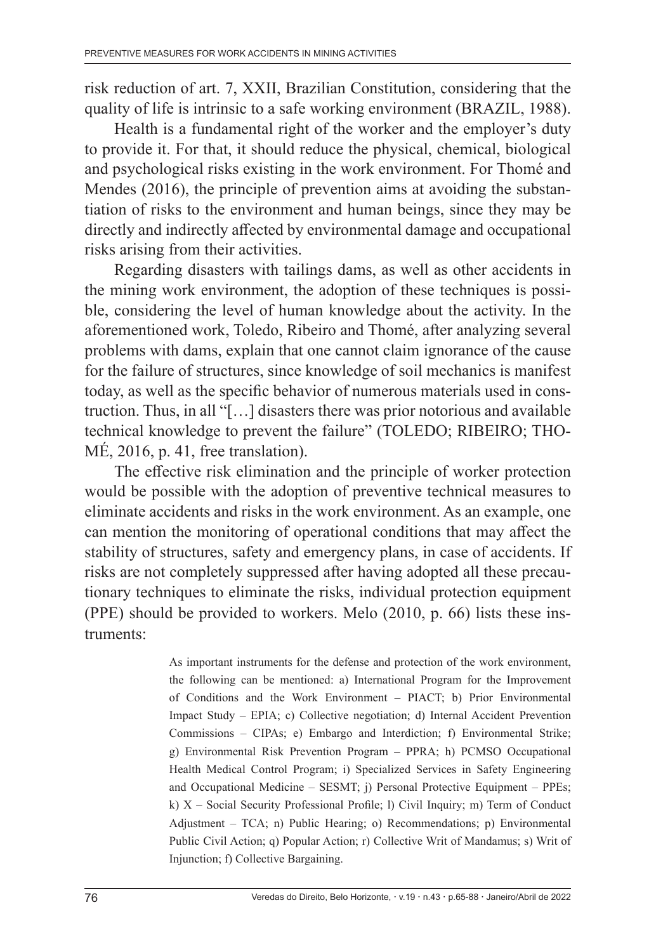risk reduction of art. 7, XXII, Brazilian Constitution, considering that the quality of life is intrinsic to a safe working environment (BRAZIL, 1988).

Health is a fundamental right of the worker and the employer's duty to provide it. For that, it should reduce the physical, chemical, biological and psychological risks existing in the work environment. For Thomé and Mendes (2016), the principle of prevention aims at avoiding the substantiation of risks to the environment and human beings, since they may be directly and indirectly affected by environmental damage and occupational risks arising from their activities.

Regarding disasters with tailings dams, as well as other accidents in the mining work environment, the adoption of these techniques is possible, considering the level of human knowledge about the activity. In the aforementioned work, Toledo, Ribeiro and Thomé, after analyzing several problems with dams, explain that one cannot claim ignorance of the cause for the failure of structures, since knowledge of soil mechanics is manifest today, as well as the specific behavior of numerous materials used in construction. Thus, in all "[…] disasters there was prior notorious and available technical knowledge to prevent the failure" (TOLEDO; RIBEIRO; THO-MÉ, 2016, p. 41, free translation).

The effective risk elimination and the principle of worker protection would be possible with the adoption of preventive technical measures to eliminate accidents and risks in the work environment. As an example, one can mention the monitoring of operational conditions that may affect the stability of structures, safety and emergency plans, in case of accidents. If risks are not completely suppressed after having adopted all these precautionary techniques to eliminate the risks, individual protection equipment (PPE) should be provided to workers. Melo (2010, p. 66) lists these instruments:

> As important instruments for the defense and protection of the work environment, the following can be mentioned: a) International Program for the Improvement of Conditions and the Work Environment – PIACT; b) Prior Environmental Impact Study – EPIA; c) Collective negotiation; d) Internal Accident Prevention Commissions – CIPAs; e) Embargo and Interdiction; f) Environmental Strike; g) Environmental Risk Prevention Program – PPRA; h) PCMSO Occupational Health Medical Control Program; i) Specialized Services in Safety Engineering and Occupational Medicine – SESMT; j) Personal Protective Equipment – PPEs; k) X – Social Security Professional Profile; l) Civil Inquiry; m) Term of Conduct Adjustment – TCA; n) Public Hearing; o) Recommendations; p) Environmental Public Civil Action; q) Popular Action; r) Collective Writ of Mandamus; s) Writ of Injunction; f) Collective Bargaining.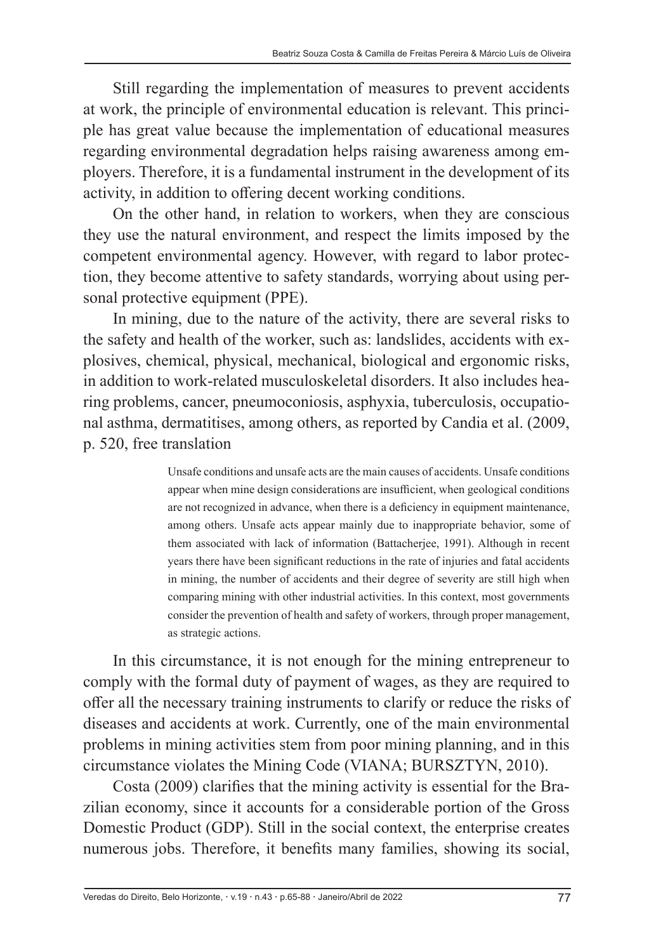Still regarding the implementation of measures to prevent accidents at work, the principle of environmental education is relevant. This principle has great value because the implementation of educational measures regarding environmental degradation helps raising awareness among employers. Therefore, it is a fundamental instrument in the development of its activity, in addition to offering decent working conditions.

On the other hand, in relation to workers, when they are conscious they use the natural environment, and respect the limits imposed by the competent environmental agency. However, with regard to labor protection, they become attentive to safety standards, worrying about using personal protective equipment (PPE).

In mining, due to the nature of the activity, there are several risks to the safety and health of the worker, such as: landslides, accidents with explosives, chemical, physical, mechanical, biological and ergonomic risks, in addition to work-related musculoskeletal disorders. It also includes hearing problems, cancer, pneumoconiosis, asphyxia, tuberculosis, occupational asthma, dermatitises, among others, as reported by Candia et al. (2009, p. 520, free translation

> Unsafe conditions and unsafe acts are the main causes of accidents. Unsafe conditions appear when mine design considerations are insufficient, when geological conditions are not recognized in advance, when there is a deficiency in equipment maintenance, among others. Unsafe acts appear mainly due to inappropriate behavior, some of them associated with lack of information (Battacherjee, 1991). Although in recent years there have been significant reductions in the rate of injuries and fatal accidents in mining, the number of accidents and their degree of severity are still high when comparing mining with other industrial activities. In this context, most governments consider the prevention of health and safety of workers, through proper management, as strategic actions.

In this circumstance, it is not enough for the mining entrepreneur to comply with the formal duty of payment of wages, as they are required to offer all the necessary training instruments to clarify or reduce the risks of diseases and accidents at work. Currently, one of the main environmental problems in mining activities stem from poor mining planning, and in this circumstance violates the Mining Code (VIANA; BURSZTYN, 2010).

Costa (2009) clarifies that the mining activity is essential for the Brazilian economy, since it accounts for a considerable portion of the Gross Domestic Product (GDP). Still in the social context, the enterprise creates numerous jobs. Therefore, it benefits many families, showing its social,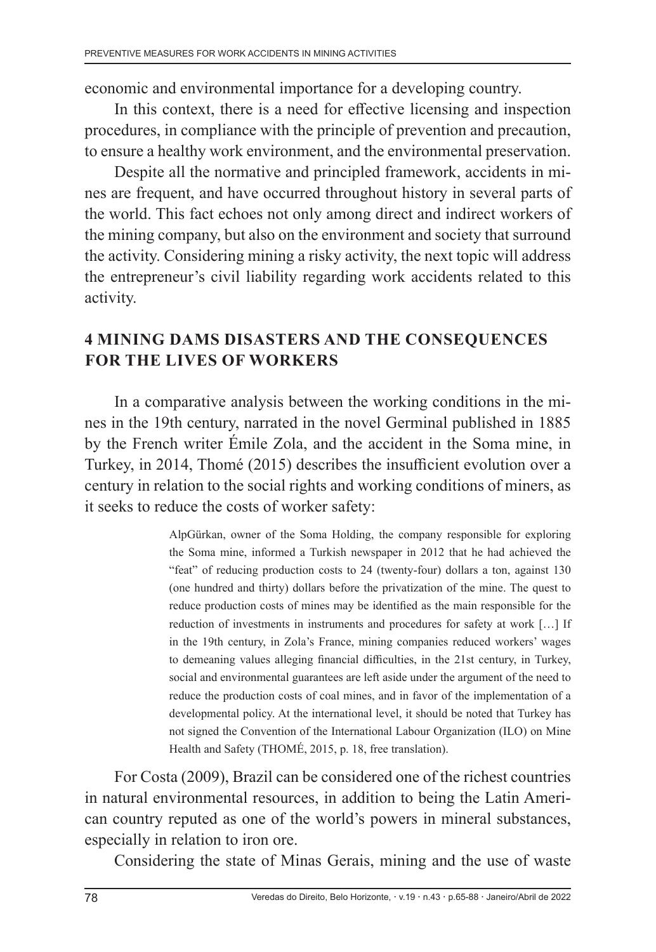economic and environmental importance for a developing country.

In this context, there is a need for effective licensing and inspection procedures, in compliance with the principle of prevention and precaution, to ensure a healthy work environment, and the environmental preservation.

Despite all the normative and principled framework, accidents in mines are frequent, and have occurred throughout history in several parts of the world. This fact echoes not only among direct and indirect workers of the mining company, but also on the environment and society that surround the activity. Considering mining a risky activity, the next topic will address the entrepreneur's civil liability regarding work accidents related to this activity.

### **4 MINING DAMS DISASTERS AND THE CONSEQUENCES FOR THE LIVES OF WORKERS**

In a comparative analysis between the working conditions in the mines in the 19th century, narrated in the novel Germinal published in 1885 by the French writer Émile Zola, and the accident in the Soma mine, in Turkey, in 2014, Thomé (2015) describes the insufficient evolution over a century in relation to the social rights and working conditions of miners, as it seeks to reduce the costs of worker safety:

> AlpGürkan, owner of the Soma Holding, the company responsible for exploring the Soma mine, informed a Turkish newspaper in 2012 that he had achieved the "feat" of reducing production costs to 24 (twenty-four) dollars a ton, against 130 (one hundred and thirty) dollars before the privatization of the mine. The quest to reduce production costs of mines may be identified as the main responsible for the reduction of investments in instruments and procedures for safety at work […] If in the 19th century, in Zola's France, mining companies reduced workers' wages to demeaning values alleging financial difficulties, in the 21st century, in Turkey, social and environmental guarantees are left aside under the argument of the need to reduce the production costs of coal mines, and in favor of the implementation of a developmental policy. At the international level, it should be noted that Turkey has not signed the Convention of the International Labour Organization (ILO) on Mine Health and Safety (THOMÉ, 2015, p. 18, free translation).

For Costa (2009), Brazil can be considered one of the richest countries in natural environmental resources, in addition to being the Latin American country reputed as one of the world's powers in mineral substances, especially in relation to iron ore.

Considering the state of Minas Gerais, mining and the use of waste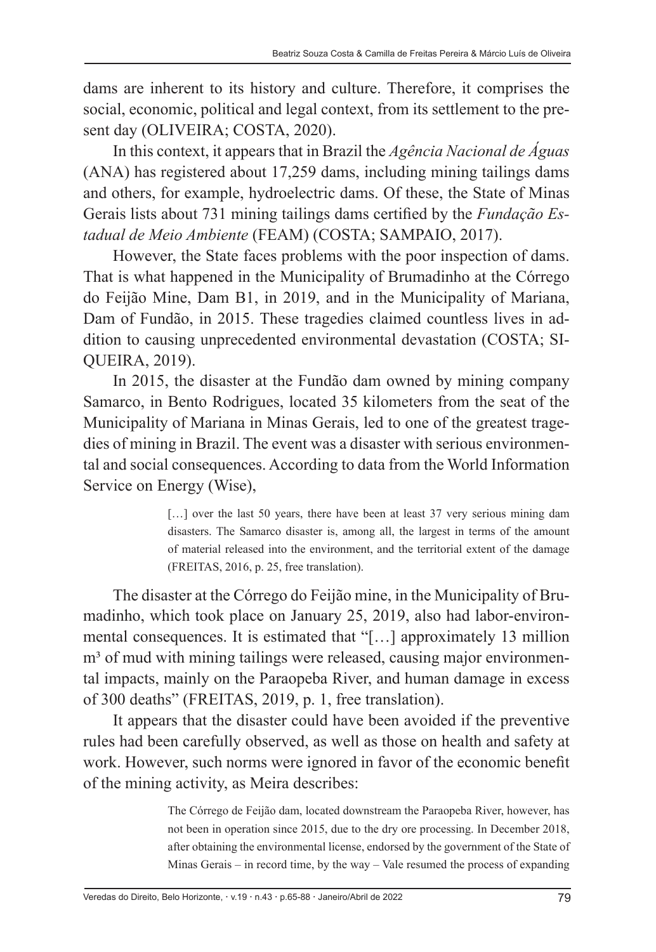dams are inherent to its history and culture. Therefore, it comprises the social, economic, political and legal context, from its settlement to the present day (OLIVEIRA; COSTA, 2020).

In this context, it appears that in Brazil the *Agência Nacional de Águas* (ANA) has registered about 17,259 dams, including mining tailings dams and others, for example, hydroelectric dams. Of these, the State of Minas Gerais lists about 731 mining tailings dams certified by the *Fundação Estadual de Meio Ambiente* (FEAM) (COSTA; SAMPAIO, 2017).

However, the State faces problems with the poor inspection of dams. That is what happened in the Municipality of Brumadinho at the Córrego do Feijão Mine, Dam B1, in 2019, and in the Municipality of Mariana, Dam of Fundão, in 2015. These tragedies claimed countless lives in addition to causing unprecedented environmental devastation (COSTA; SI-QUEIRA, 2019).

In 2015, the disaster at the Fundão dam owned by mining company Samarco, in Bento Rodrigues, located 35 kilometers from the seat of the Municipality of Mariana in Minas Gerais, led to one of the greatest tragedies of mining in Brazil. The event was a disaster with serious environmental and social consequences. According to data from the World Information Service on Energy (Wise),

> [...] over the last 50 years, there have been at least 37 very serious mining dam disasters. The Samarco disaster is, among all, the largest in terms of the amount of material released into the environment, and the territorial extent of the damage (FREITAS, 2016, p. 25, free translation).

The disaster at the Córrego do Feijão mine, in the Municipality of Brumadinho, which took place on January 25, 2019, also had labor-environmental consequences. It is estimated that "[…] approximately 13 million m<sup>3</sup> of mud with mining tailings were released, causing major environmental impacts, mainly on the Paraopeba River, and human damage in excess of 300 deaths" (FREITAS, 2019, p. 1, free translation).

It appears that the disaster could have been avoided if the preventive rules had been carefully observed, as well as those on health and safety at work. However, such norms were ignored in favor of the economic benefit of the mining activity, as Meira describes:

> The Córrego de Feijão dam, located downstream the Paraopeba River, however, has not been in operation since 2015, due to the dry ore processing. In December 2018, after obtaining the environmental license, endorsed by the government of the State of Minas Gerais – in record time, by the way – Vale resumed the process of expanding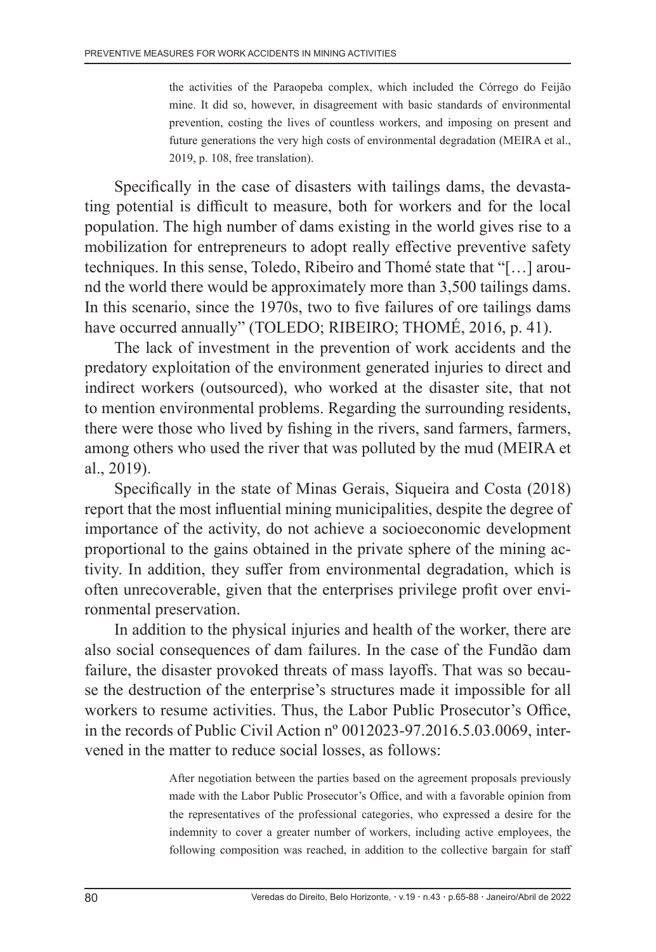the activities of the Paraopeba complex, which included the Córrego do Feijão mine. It did so, however, in disagreement with basic standards of environmental prevention, costing the lives of countless workers, and imposing on present and future generations the very high costs of environmental degradation (MEIRA et al., 2019, p. 108, free translation).

Specifically in the case of disasters with tailings dams, the devastating potential is difficult to measure, both for workers and for the local population. The high number of dams existing in the world gives rise to a mobilization for entrepreneurs to adopt really effective preventive safety techniques. In this sense, Toledo, Ribeiro and Thomé state that "[…] around the world there would be approximately more than 3,500 tailings dams. In this scenario, since the 1970s, two to five failures of ore tailings dams have occurred annually" (TOLEDO; RIBEIRO; THOMÉ, 2016, p. 41).

The lack of investment in the prevention of work accidents and the predatory exploitation of the environment generated injuries to direct and indirect workers (outsourced), who worked at the disaster site, that not to mention environmental problems. Regarding the surrounding residents, there were those who lived by fishing in the rivers, sand farmers, farmers, among others who used the river that was polluted by the mud (MEIRA et al., 2019).

Specifically in the state of Minas Gerais, Siqueira and Costa (2018) report that the most influential mining municipalities, despite the degree of importance of the activity, do not achieve a socioeconomic development proportional to the gains obtained in the private sphere of the mining activity. In addition, they suffer from environmental degradation, which is often unrecoverable, given that the enterprises privilege profit over environmental preservation.

In addition to the physical injuries and health of the worker, there are also social consequences of dam failures. In the case of the Fundão dam failure, the disaster provoked threats of mass layoffs. That was so because the destruction of the enterprise's structures made it impossible for all workers to resume activities. Thus, the Labor Public Prosecutor's Office, in the records of Public Civil Action nº 0012023-97.2016.5.03.0069, intervened in the matter to reduce social losses, as follows:

> After negotiation between the parties based on the agreement proposals previously made with the Labor Public Prosecutor's Office, and with a favorable opinion from the representatives of the professional categories, who expressed a desire for the indemnity to cover a greater number of workers, including active employees, the following composition was reached, in addition to the collective bargain for staff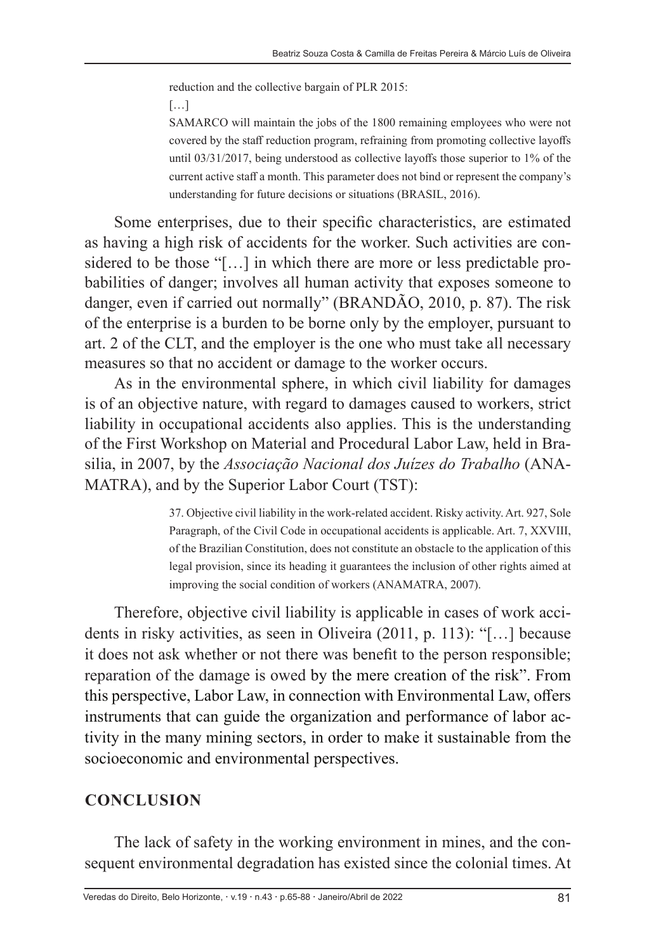reduction and the collective bargain of PLR 2015:

[…]

SAMARCO will maintain the jobs of the 1800 remaining employees who were not covered by the staff reduction program, refraining from promoting collective layoffs until 03/31/2017, being understood as collective layoffs those superior to 1% of the current active staff a month. This parameter does not bind or represent the company's understanding for future decisions or situations (BRASIL, 2016).

Some enterprises, due to their specific characteristics, are estimated as having a high risk of accidents for the worker. Such activities are considered to be those "[…] in which there are more or less predictable probabilities of danger; involves all human activity that exposes someone to danger, even if carried out normally" (BRANDÃO, 2010, p. 87). The risk of the enterprise is a burden to be borne only by the employer, pursuant to art. 2 of the CLT, and the employer is the one who must take all necessary measures so that no accident or damage to the worker occurs.

As in the environmental sphere, in which civil liability for damages is of an objective nature, with regard to damages caused to workers, strict liability in occupational accidents also applies. This is the understanding of the First Workshop on Material and Procedural Labor Law, held in Brasilia, in 2007, by the *Associação Nacional dos Juízes do Trabalho* (ANA-MATRA), and by the Superior Labor Court (TST):

> 37. Objective civil liability in the work-related accident. Risky activity. Art. 927, Sole Paragraph, of the Civil Code in occupational accidents is applicable. Art. 7, XXVIII, of the Brazilian Constitution, does not constitute an obstacle to the application of this legal provision, since its heading it guarantees the inclusion of other rights aimed at improving the social condition of workers (ANAMATRA, 2007).

Therefore, objective civil liability is applicable in cases of work accidents in risky activities, as seen in Oliveira (2011, p. 113): "[…] because it does not ask whether or not there was benefit to the person responsible; reparation of the damage is owed by the mere creation of the risk". From this perspective, Labor Law, in connection with Environmental Law, offers instruments that can guide the organization and performance of labor activity in the many mining sectors, in order to make it sustainable from the socioeconomic and environmental perspectives.

#### **CONCLUSION**

The lack of safety in the working environment in mines, and the consequent environmental degradation has existed since the colonial times. At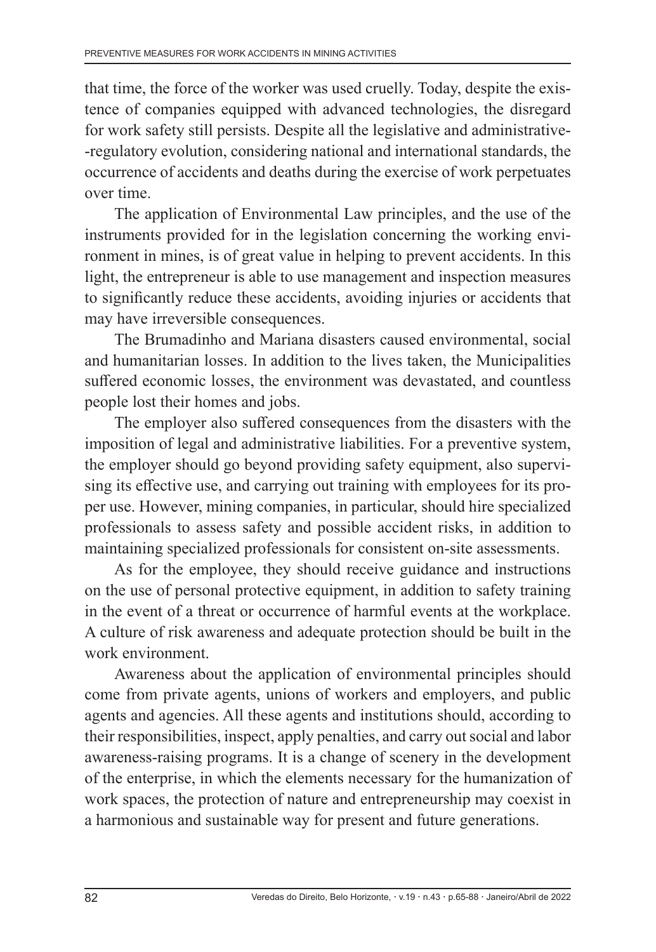that time, the force of the worker was used cruelly. Today, despite the existence of companies equipped with advanced technologies, the disregard for work safety still persists. Despite all the legislative and administrative- -regulatory evolution, considering national and international standards, the occurrence of accidents and deaths during the exercise of work perpetuates over time.

The application of Environmental Law principles, and the use of the instruments provided for in the legislation concerning the working environment in mines, is of great value in helping to prevent accidents. In this light, the entrepreneur is able to use management and inspection measures to significantly reduce these accidents, avoiding injuries or accidents that may have irreversible consequences.

The Brumadinho and Mariana disasters caused environmental, social and humanitarian losses. In addition to the lives taken, the Municipalities suffered economic losses, the environment was devastated, and countless people lost their homes and jobs.

The employer also suffered consequences from the disasters with the imposition of legal and administrative liabilities. For a preventive system, the employer should go beyond providing safety equipment, also supervising its effective use, and carrying out training with employees for its proper use. However, mining companies, in particular, should hire specialized professionals to assess safety and possible accident risks, in addition to maintaining specialized professionals for consistent on-site assessments.

As for the employee, they should receive guidance and instructions on the use of personal protective equipment, in addition to safety training in the event of a threat or occurrence of harmful events at the workplace. A culture of risk awareness and adequate protection should be built in the work environment.

Awareness about the application of environmental principles should come from private agents, unions of workers and employers, and public agents and agencies. All these agents and institutions should, according to their responsibilities, inspect, apply penalties, and carry out social and labor awareness-raising programs. It is a change of scenery in the development of the enterprise, in which the elements necessary for the humanization of work spaces, the protection of nature and entrepreneurship may coexist in a harmonious and sustainable way for present and future generations.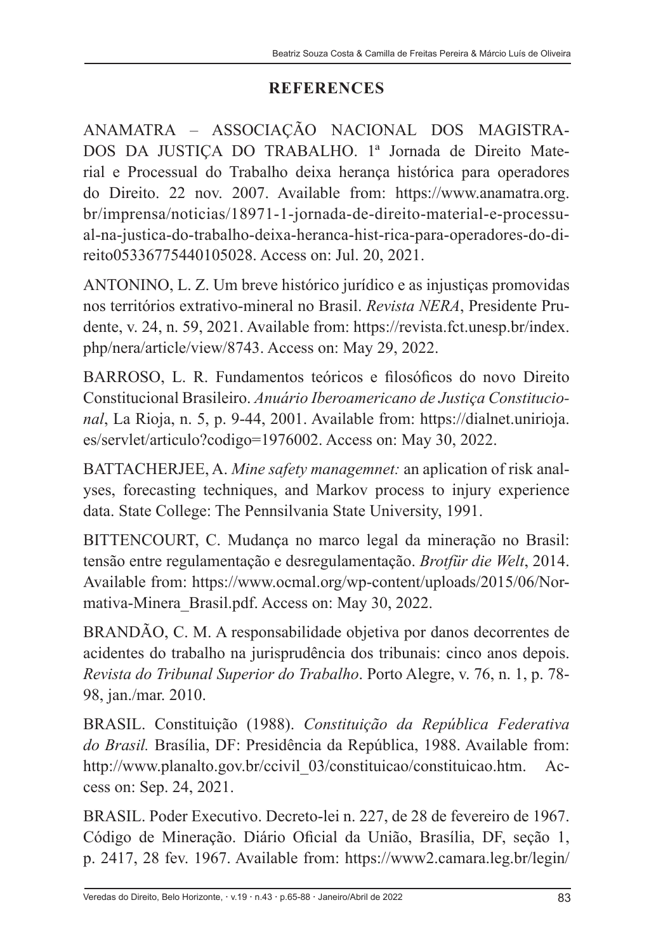#### **REFERENCES**

ANAMATRA – ASSOCIAÇÃO NACIONAL DOS MAGISTRA-DOS DA JUSTIÇA DO TRABALHO. 1ª Jornada de Direito Material e Processual do Trabalho deixa herança histórica para operadores do Direito. 22 nov. 2007. Available from: https://www.anamatra.org. br/imprensa/noticias/18971-1-jornada-de-direito-material-e-processual-na-justica-do-trabalho-deixa-heranca-hist-rica-para-operadores-do-direito05336775440105028. Access on: Jul. 20, 2021.

ANTONINO, L. Z. Um breve histórico jurídico e as injustiças promovidas nos territórios extrativo-mineral no Brasil. *Revista NERA*, Presidente Prudente, v. 24, n. 59, 2021. Available from: https://revista.fct.unesp.br/index. php/nera/article/view/8743. Access on: May 29, 2022.

BARROSO, L. R. Fundamentos teóricos e filosóficos do novo Direito Constitucional Brasileiro. *Anuário Iberoamericano de Justiça Constitucional*, La Rioja, n. 5, p. 9-44, 2001. Available from: https://dialnet.unirioja. es/servlet/articulo?codigo=1976002. Access on: May 30, 2022.

BATTACHERJEE, A. *Mine safety managemnet:* an aplication of risk analyses, forecasting techniques, and Markov process to injury experience data. State College: The Pennsilvania State University, 1991.

BITTENCOURT, C. Mudança no marco legal da mineração no Brasil: tensão entre regulamentação e desregulamentação. *Brotfür die Welt*, 2014. Available from: https://www.ocmal.org/wp-content/uploads/2015/06/Normativa-Minera\_Brasil.pdf. Access on: May 30, 2022.

BRANDÃO, C. M. A responsabilidade objetiva por danos decorrentes de acidentes do trabalho na jurisprudência dos tribunais: cinco anos depois. *Revista do Tribunal Superior do Trabalho*. Porto Alegre, v. 76, n. 1, p. 78- 98, jan./mar. 2010.

BRASIL. Constituição (1988). *Constituição da República Federativa do Brasil.* Brasília, DF: Presidência da República, 1988. Available from: http://www.planalto.gov.br/ccivil\_03/constituicao/constituicao.htm. Access on: Sep. 24, 2021.

BRASIL. Poder Executivo. Decreto-lei n. 227, de 28 de fevereiro de 1967. Código de Mineração. Diário Oficial da União, Brasília, DF, seção 1, p. 2417, 28 fev. 1967. Available from: https://www2.camara.leg.br/legin/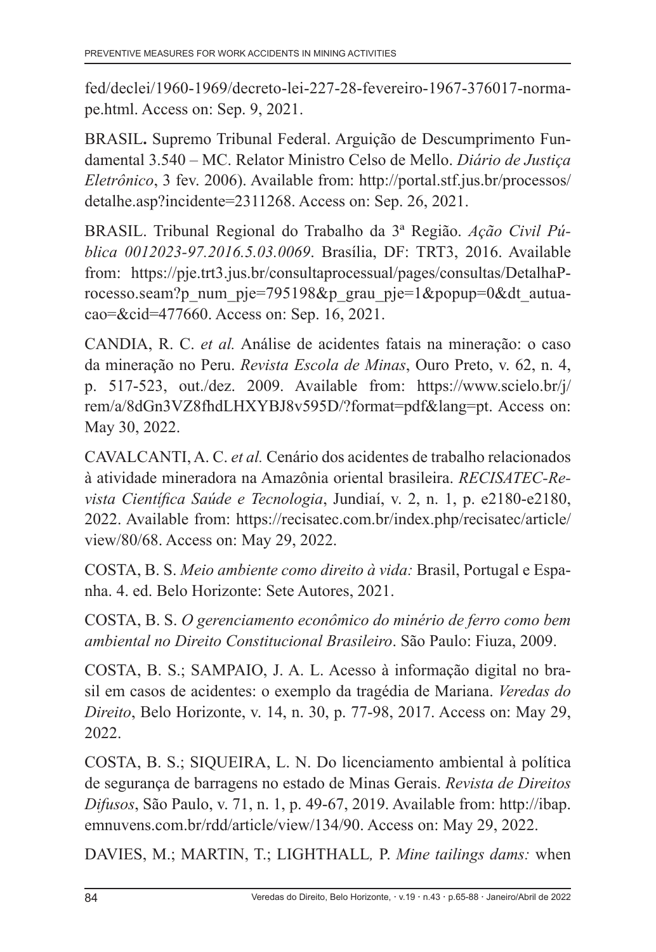fed/declei/1960-1969/decreto-lei-227-28-fevereiro-1967-376017-normape.html. Access on: Sep. 9, 2021.

BRASIL**.** Supremo Tribunal Federal. Arguição de Descumprimento Fundamental 3.540 – MC. Relator Ministro Celso de Mello. *Diário de Justiça Eletrônico*, 3 fev. 2006). Available from: http://portal.stf.jus.br/processos/ detalhe.asp?incidente=2311268. Access on: Sep. 26, 2021.

BRASIL. Tribunal Regional do Trabalho da 3ª Região. *Ação Civil Pública 0012023-97.2016.5.03.0069*. Brasília, DF: TRT3, 2016. Available from: https://pje.trt3.jus.br/consultaprocessual/pages/consultas/DetalhaProcesso.seam?p\_num\_pje=795198&p\_grau\_pje=1&popup=0&dt\_autuacao=&cid=477660. Access on: Sep. 16, 2021.

CANDIA, R. C. *et al.* Análise de acidentes fatais na mineração: o caso da mineração no Peru. *Revista Escola de Minas*, Ouro Preto, v. 62, n. 4, p. 517-523, out./dez. 2009. Available from: https://www.scielo.br/j/ rem/a/8dGn3VZ8fhdLHXYBJ8v595D/?format=pdf&lang=pt. Access on: May 30, 2022.

CAVALCANTI, A. C. *et al.* Cenário dos acidentes de trabalho relacionados à atividade mineradora na Amazônia oriental brasileira. *RECISATEC-Revista Científica Saúde e Tecnologia*, Jundiaí, v. 2, n. 1, p. e2180-e2180, 2022. Available from: https://recisatec.com.br/index.php/recisatec/article/ view/80/68. Access on: May 29, 2022.

COSTA, B. S. *Meio ambiente como direito à vida:* Brasil, Portugal e Espanha. 4. ed. Belo Horizonte: Sete Autores, 2021.

COSTA, B. S. *O gerenciamento econômico do minério de ferro como bem ambiental no Direito Constitucional Brasileiro*. São Paulo: Fiuza, 2009.

COSTA, B. S.; SAMPAIO, J. A. L. Acesso à informação digital no brasil em casos de acidentes: o exemplo da tragédia de Mariana. *Veredas do Direito*, Belo Horizonte, v. 14, n. 30, p. 77-98, 2017. Access on: May 29, 2022.

COSTA, B. S.; SIQUEIRA, L. N. Do licenciamento ambiental à política de segurança de barragens no estado de Minas Gerais. *Revista de Direitos Difusos*, São Paulo, v. 71, n. 1, p. 49-67, 2019. Available from: http://ibap. emnuvens.com.br/rdd/article/view/134/90. Access on: May 29, 2022.

DAVIES, M.; MARTIN, T.; LIGHTHALL*,* P. *Mine tailings dams:* when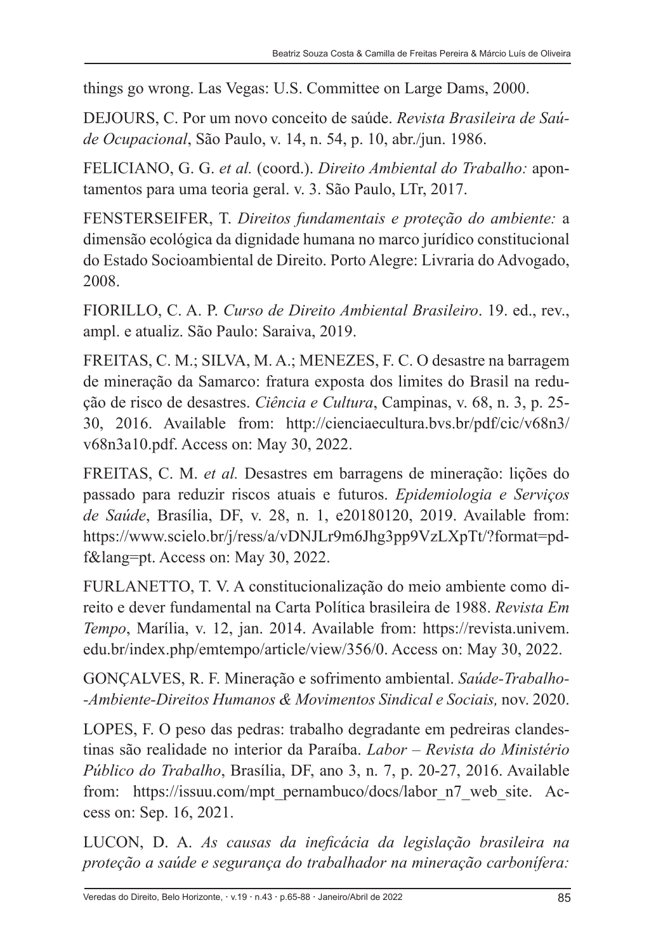things go wrong. Las Vegas: U.S. Committee on Large Dams, 2000.

DEJOURS, C. Por um novo conceito de saúde. *Revista Brasileira de Saúde Ocupacional*, São Paulo, v. 14, n. 54, p. 10, abr./jun. 1986.

FELICIANO, G. G. *et al.* (coord.). *Direito Ambiental do Trabalho:* apontamentos para uma teoria geral. v. 3. São Paulo, LTr, 2017.

FENSTERSEIFER, T. *Direitos fundamentais e proteção do ambiente:* a dimensão ecológica da dignidade humana no marco jurídico constitucional do Estado Socioambiental de Direito. Porto Alegre: Livraria do Advogado, 2008.

FIORILLO, C. A. P. *Curso de Direito Ambiental Brasileiro*. 19. ed., rev., ampl. e atualiz. São Paulo: Saraiva, 2019.

FREITAS, C. M.; SILVA, M. A.; MENEZES, F. C. O desastre na barragem de mineração da Samarco: fratura exposta dos limites do Brasil na redução de risco de desastres. *Ciência e Cultura*, Campinas, v. 68, n. 3, p. 25- 30, 2016. Available from: http://cienciaecultura.bvs.br/pdf/cic/v68n3/ v68n3a10.pdf. Access on: May 30, 2022.

FREITAS, C. M. *et al.* Desastres em barragens de mineração: lições do passado para reduzir riscos atuais e futuros. *Epidemiologia e Serviços de Saúde*, Brasília, DF, v. 28, n. 1, e20180120, 2019. Available from: https://www.scielo.br/j/ress/a/vDNJLr9m6Jhg3pp9VzLXpTt/?format=pdf&lang=pt. Access on: May 30, 2022.

FURLANETTO, T. V. A constitucionalização do meio ambiente como direito e dever fundamental na Carta Política brasileira de 1988. *Revista Em Tempo*, Marília, v. 12, jan. 2014. Available from: https://revista.univem. edu.br/index.php/emtempo/article/view/356/0. Access on: May 30, 2022.

GONÇALVES, R. F. Mineração e sofrimento ambiental. *Saúde-Trabalho- -Ambiente-Direitos Humanos & Movimentos Sindical e Sociais,* nov. 2020.

LOPES, F. O peso das pedras: trabalho degradante em pedreiras clandestinas são realidade no interior da Paraíba. *Labor – Revista do Ministério Público do Trabalho*, Brasília, DF, ano 3, n. 7, p. 20-27, 2016. Available from: https://issuu.com/mpt\_pernambuco/docs/labor\_n7\_web\_site. Access on: Sep. 16, 2021.

LUCON, D. A. *As causas da ineficácia da legislação brasileira na proteção a saúde e segurança do trabalhador na mineração carbonífera:*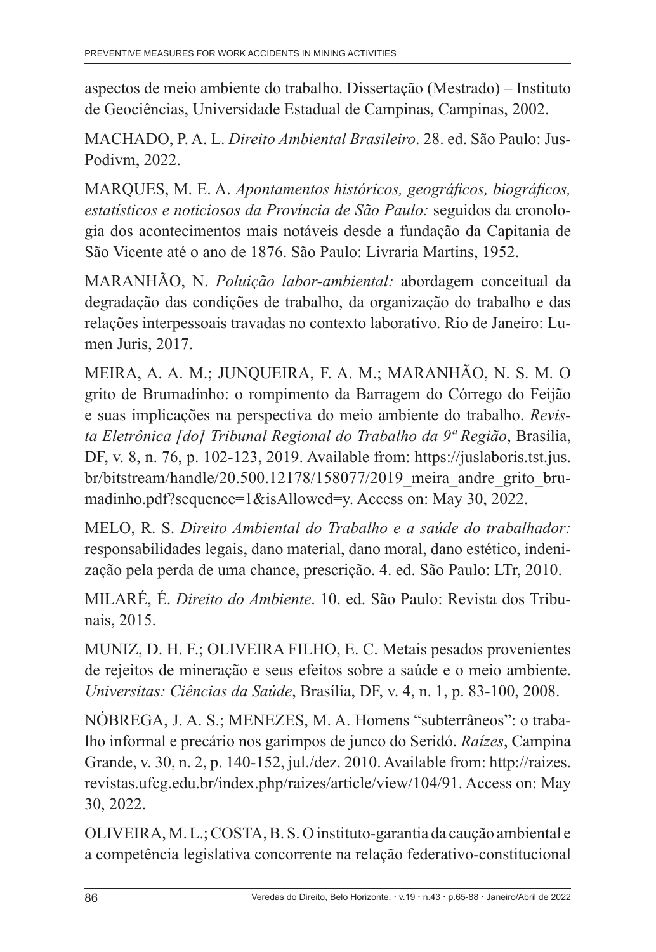aspectos de meio ambiente do trabalho. Dissertação (Mestrado) – Instituto de Geociências, Universidade Estadual de Campinas, Campinas, 2002.

MACHADO, P. A. L. *Direito Ambiental Brasileiro*. 28. ed. São Paulo: Jus-Podivm, 2022.

MARQUES, M. E. A. *Apontamentos históricos, geográficos, biográficos, estatísticos e noticiosos da Província de São Paulo:* seguidos da cronologia dos acontecimentos mais notáveis desde a fundação da Capitania de São Vicente até o ano de 1876. São Paulo: Livraria Martins, 1952.

MARANHÃO, N. *Poluição labor-ambiental:* abordagem conceitual da degradação das condições de trabalho, da organização do trabalho e das relações interpessoais travadas no contexto laborativo. Rio de Janeiro: Lumen Juris, 2017.

MEIRA, A. A. M.; JUNQUEIRA, F. A. M.; MARANHÃO, N. S. M. O grito de Brumadinho: o rompimento da Barragem do Córrego do Feijão e suas implicações na perspectiva do meio ambiente do trabalho. *Revista Eletrônica [do] Tribunal Regional do Trabalho da 9ª Região*, Brasília, DF, v. 8, n. 76, p. 102-123, 2019. Available from: https://juslaboris.tst.jus. br/bitstream/handle/20.500.12178/158077/2019\_meira\_andre\_grito\_brumadinho.pdf?sequence=1&isAllowed=y. Access on: May 30, 2022.

MELO, R. S. *Direito Ambiental do Trabalho e a saúde do trabalhador:*  responsabilidades legais, dano material, dano moral, dano estético, indenização pela perda de uma chance, prescrição. 4. ed. São Paulo: LTr, 2010.

MILARÉ, É. *Direito do Ambiente*. 10. ed. São Paulo: Revista dos Tribunais, 2015.

MUNIZ, D. H. F.; OLIVEIRA FILHO, E. C. Metais pesados provenientes de rejeitos de mineração e seus efeitos sobre a saúde e o meio ambiente. *Universitas: Ciências da Saúde*, Brasília, DF, v. 4, n. 1, p. 83-100, 2008.

NÓBREGA, J. A. S.; MENEZES, M. A. Homens "subterrâneos": o trabalho informal e precário nos garimpos de junco do Seridó. *Raízes*, Campina Grande, v. 30, n. 2, p. 140-152, jul./dez. 2010. Available from: http://raizes. revistas.ufcg.edu.br/index.php/raizes/article/view/104/91. Access on: May 30, 2022.

OLIVEIRA, M. L.; COSTA, B. S. O instituto-garantia da caução ambiental e a competência legislativa concorrente na relação federativo-constitucional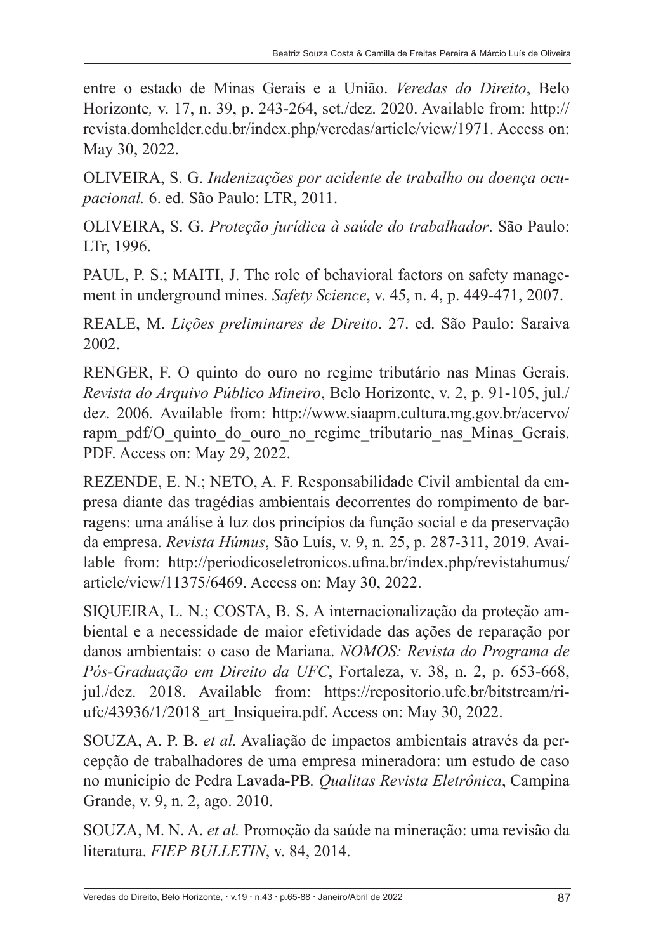entre o estado de Minas Gerais e a União. *Veredas do Direito*, Belo Horizonte*,* v. 17, n. 39, p. 243-264, set./dez. 2020. Available from: http:// revista.domhelder.edu.br/index.php/veredas/article/view/1971. Access on: May 30, 2022.

OLIVEIRA, S. G. *Indenizações por acidente de trabalho ou doença ocupacional.* 6. ed. São Paulo: LTR, 2011.

OLIVEIRA, S. G. *Proteção jurídica à saúde do trabalhador*. São Paulo: LTr, 1996.

PAUL, P. S.; MAITI, J. The role of behavioral factors on safety management in underground mines. *Safety Science*, v. 45, n. 4, p. 449-471, 2007.

REALE, M. *Lições preliminares de Direito*. 27. ed. São Paulo: Saraiva 2002.

RENGER, F. O quinto do ouro no regime tributário nas Minas Gerais. *Revista do Arquivo Público Mineiro*, Belo Horizonte, v. 2, p. 91-105, jul./ dez. 2006*.* Available from: http://www.siaapm.cultura.mg.gov.br/acervo/ rapm\_pdf/O\_quinto\_do\_ouro\_no\_regime\_tributario\_nas\_Minas\_Gerais. PDF. Access on: May 29, 2022.

REZENDE, E. N.; NETO, A. F. Responsabilidade Civil ambiental da empresa diante das tragédias ambientais decorrentes do rompimento de barragens: uma análise à luz dos princípios da função social e da preservação da empresa. *Revista Húmus*, São Luís, v. 9, n. 25, p. 287-311, 2019. Available from: http://periodicoseletronicos.ufma.br/index.php/revistahumus/ article/view/11375/6469. Access on: May 30, 2022.

SIQUEIRA, L. N.; COSTA, B. S. A internacionalização da proteção ambiental e a necessidade de maior efetividade das ações de reparação por danos ambientais: o caso de Mariana. *NOMOS: Revista do Programa de Pós-Graduação em Direito da UFC*, Fortaleza, v. 38, n. 2, p. 653-668, jul./dez. 2018. Available from: https://repositorio.ufc.br/bitstream/riufc/43936/1/2018 art lnsiqueira.pdf. Access on: May 30, 2022.

SOUZA, A. P. B. *et al.* Avaliação de impactos ambientais através da percepção de trabalhadores de uma empresa mineradora: um estudo de caso no município de Pedra Lavada-PB*. Qualitas Revista Eletrônica*, Campina Grande, v. 9, n. 2, ago. 2010.

SOUZA, M. N. A. *et al.* Promoção da saúde na mineração: uma revisão da literatura. *FIEP BULLETIN*, v. 84, 2014.